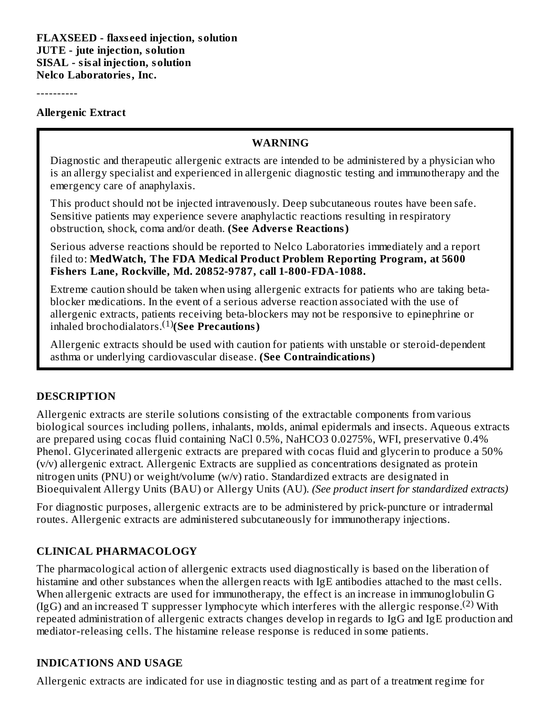----------

#### **Allergenic Extract**

#### **WARNING**

Diagnostic and therapeutic allergenic extracts are intended to be administered by a physician who is an allergy specialist and experienced in allergenic diagnostic testing and immunotherapy and the emergency care of anaphylaxis.

This product should not be injected intravenously. Deep subcutaneous routes have been safe. Sensitive patients may experience severe anaphylactic reactions resulting in respiratory obstruction, shock, coma and/or death. **(See Advers e Reactions)**

Serious adverse reactions should be reported to Nelco Laboratories immediately and a report filed to: **MedWatch, The FDA Medical Product Problem Reporting Program, at 5600 Fishers Lane, Rockville, Md. 20852-9787, call 1-800-FDA-1088.**

Extreme caution should be taken when using allergenic extracts for patients who are taking betablocker medications. In the event of a serious adverse reaction associated with the use of allergenic extracts, patients receiving beta-blockers may not be responsive to epinephrine or inhaled brochodialators.<sup>(1)</sup>(See Precautions)

Allergenic extracts should be used with caution for patients with unstable or steroid-dependent asthma or underlying cardiovascular disease. **(See Contraindications)**

#### **DESCRIPTION**

Allergenic extracts are sterile solutions consisting of the extractable components from various biological sources including pollens, inhalants, molds, animal epidermals and insects. Aqueous extracts are prepared using cocas fluid containing NaCl 0.5%, NaHCO3 0.0275%, WFI, preservative 0.4% Phenol. Glycerinated allergenic extracts are prepared with cocas fluid and glycerin to produce a 50% (v/v) allergenic extract. Allergenic Extracts are supplied as concentrations designated as protein nitrogen units (PNU) or weight/volume (w/v) ratio. Standardized extracts are designated in Bioequivalent Allergy Units (BAU) or Allergy Units (AU). *(See product insert for standardized extracts)*

For diagnostic purposes, allergenic extracts are to be administered by prick-puncture or intradermal routes. Allergenic extracts are administered subcutaneously for immunotherapy injections.

#### **CLINICAL PHARMACOLOGY**

The pharmacological action of allergenic extracts used diagnostically is based on the liberation of histamine and other substances when the allergen reacts with IgE antibodies attached to the mast cells. When allergenic extracts are used for immunotherapy, the effect is an increase in immunoglobulin G (IgG) and an increased T suppresser lymphocyte which interferes with the allergic response.<sup>(2)</sup> With repeated administration of allergenic extracts changes develop in regards to IgG and IgE production and mediator-releasing cells. The histamine release response is reduced in some patients.

#### **INDICATIONS AND USAGE**

Allergenic extracts are indicated for use in diagnostic testing and as part of a treatment regime for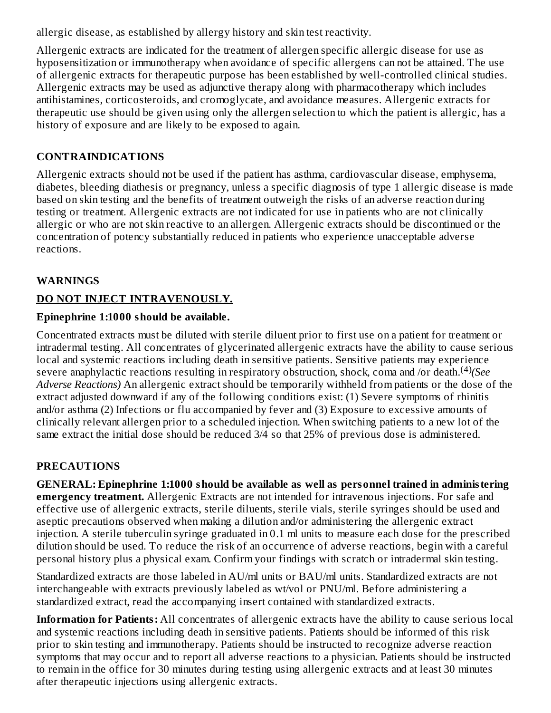allergic disease, as established by allergy history and skin test reactivity.

Allergenic extracts are indicated for the treatment of allergen specific allergic disease for use as hyposensitization or immunotherapy when avoidance of specific allergens can not be attained. The use of allergenic extracts for therapeutic purpose has been established by well-controlled clinical studies. Allergenic extracts may be used as adjunctive therapy along with pharmacotherapy which includes antihistamines, corticosteroids, and cromoglycate, and avoidance measures. Allergenic extracts for therapeutic use should be given using only the allergen selection to which the patient is allergic, has a history of exposure and are likely to be exposed to again.

## **CONTRAINDICATIONS**

Allergenic extracts should not be used if the patient has asthma, cardiovascular disease, emphysema, diabetes, bleeding diathesis or pregnancy, unless a specific diagnosis of type 1 allergic disease is made based on skin testing and the benefits of treatment outweigh the risks of an adverse reaction during testing or treatment. Allergenic extracts are not indicated for use in patients who are not clinically allergic or who are not skin reactive to an allergen. Allergenic extracts should be discontinued or the concentration of potency substantially reduced in patients who experience unacceptable adverse reactions.

# **WARNINGS**

# **DO NOT INJECT INTRAVENOUSLY.**

# **Epinephrine 1:1000 should be available.**

Concentrated extracts must be diluted with sterile diluent prior to first use on a patient for treatment or intradermal testing. All concentrates of glycerinated allergenic extracts have the ability to cause serious local and systemic reactions including death in sensitive patients. Sensitive patients may experience severe anaphylactic reactions resulting in respiratory obstruction, shock, coma and /or death.<sup>(4)</sup>(See *Adverse Reactions)* An allergenic extract should be temporarily withheld from patients or the dose of the extract adjusted downward if any of the following conditions exist: (1) Severe symptoms of rhinitis and/or asthma (2) Infections or flu accompanied by fever and (3) Exposure to excessive amounts of clinically relevant allergen prior to a scheduled injection. When switching patients to a new lot of the same extract the initial dose should be reduced 3/4 so that 25% of previous dose is administered.

# **PRECAUTIONS**

**GENERAL: Epinephrine 1:1000 should be available as well as personnel trained in administering emergency treatment.** Allergenic Extracts are not intended for intravenous injections. For safe and effective use of allergenic extracts, sterile diluents, sterile vials, sterile syringes should be used and aseptic precautions observed when making a dilution and/or administering the allergenic extract injection. A sterile tuberculin syringe graduated in 0.1 ml units to measure each dose for the prescribed dilution should be used. To reduce the risk of an occurrence of adverse reactions, begin with a careful personal history plus a physical exam. Confirm your findings with scratch or intradermal skin testing.

Standardized extracts are those labeled in AU/ml units or BAU/ml units. Standardized extracts are not interchangeable with extracts previously labeled as wt/vol or PNU/ml. Before administering a standardized extract, read the accompanying insert contained with standardized extracts.

**Information for Patients:** All concentrates of allergenic extracts have the ability to cause serious local and systemic reactions including death in sensitive patients. Patients should be informed of this risk prior to skin testing and immunotherapy. Patients should be instructed to recognize adverse reaction symptoms that may occur and to report all adverse reactions to a physician. Patients should be instructed to remain in the office for 30 minutes during testing using allergenic extracts and at least 30 minutes after therapeutic injections using allergenic extracts.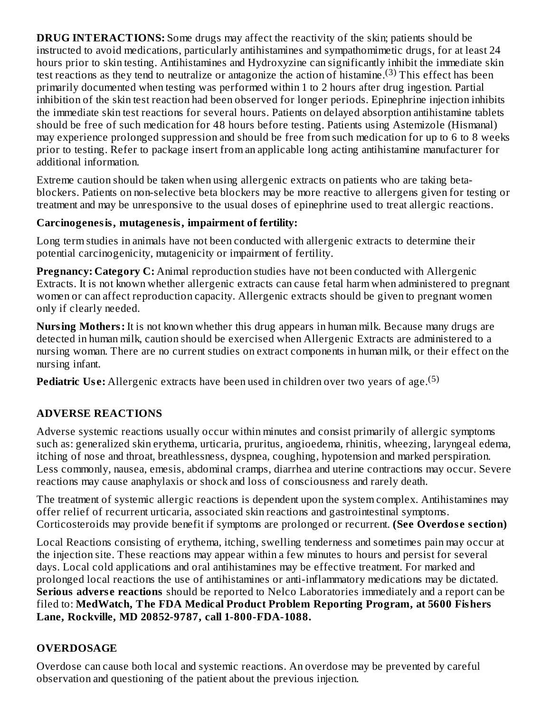**DRUG INTERACTIONS:** Some drugs may affect the reactivity of the skin; patients should be instructed to avoid medications, particularly antihistamines and sympathomimetic drugs, for at least 24 hours prior to skin testing. Antihistamines and Hydroxyzine can significantly inhibit the immediate skin test reactions as they tend to neutralize or antagonize the action of histamine.<sup>(3)</sup> This effect has been primarily documented when testing was performed within 1 to 2 hours after drug ingestion. Partial inhibition of the skin test reaction had been observed for longer periods. Epinephrine injection inhibits the immediate skin test reactions for several hours. Patients on delayed absorption antihistamine tablets should be free of such medication for 48 hours before testing. Patients using Astemizole (Hismanal) may experience prolonged suppression and should be free from such medication for up to 6 to 8 weeks prior to testing. Refer to package insert from an applicable long acting antihistamine manufacturer for additional information.

Extreme caution should be taken when using allergenic extracts on patients who are taking betablockers. Patients on non-selective beta blockers may be more reactive to allergens given for testing or treatment and may be unresponsive to the usual doses of epinephrine used to treat allergic reactions.

## **Carcinogenesis, mutagenesis, impairment of fertility:**

Long term studies in animals have not been conducted with allergenic extracts to determine their potential carcinogenicity, mutagenicity or impairment of fertility.

**Pregnancy: Category C:** Animal reproduction studies have not been conducted with Allergenic Extracts. It is not known whether allergenic extracts can cause fetal harm when administered to pregnant women or can affect reproduction capacity. Allergenic extracts should be given to pregnant women only if clearly needed.

**Nursing Mothers:** It is not known whether this drug appears in human milk. Because many drugs are detected in human milk, caution should be exercised when Allergenic Extracts are administered to a nursing woman. There are no current studies on extract components in human milk, or their effect on the nursing infant.

**Pediatric Use:** Allergenic extracts have been used in children over two years of age.<sup>(5)</sup>

# **ADVERSE REACTIONS**

Adverse systemic reactions usually occur within minutes and consist primarily of allergic symptoms such as: generalized skin erythema, urticaria, pruritus, angioedema, rhinitis, wheezing, laryngeal edema, itching of nose and throat, breathlessness, dyspnea, coughing, hypotension and marked perspiration. Less commonly, nausea, emesis, abdominal cramps, diarrhea and uterine contractions may occur. Severe reactions may cause anaphylaxis or shock and loss of consciousness and rarely death.

The treatment of systemic allergic reactions is dependent upon the system complex. Antihistamines may offer relief of recurrent urticaria, associated skin reactions and gastrointestinal symptoms. Corticosteroids may provide benefit if symptoms are prolonged or recurrent. **(See Overdos e s ection)**

Local Reactions consisting of erythema, itching, swelling tenderness and sometimes pain may occur at the injection site. These reactions may appear within a few minutes to hours and persist for several days. Local cold applications and oral antihistamines may be effective treatment. For marked and prolonged local reactions the use of antihistamines or anti-inflammatory medications may be dictated. **Serious adverse reactions** should be reported to Nelco Laboratories immediately and a report can be filed to: **MedWatch, The FDA Medical Product Problem Reporting Program, at 5600 Fishers Lane, Rockville, MD 20852-9787, call 1-800-FDA-1088.**

# **OVERDOSAGE**

Overdose can cause both local and systemic reactions. An overdose may be prevented by careful observation and questioning of the patient about the previous injection.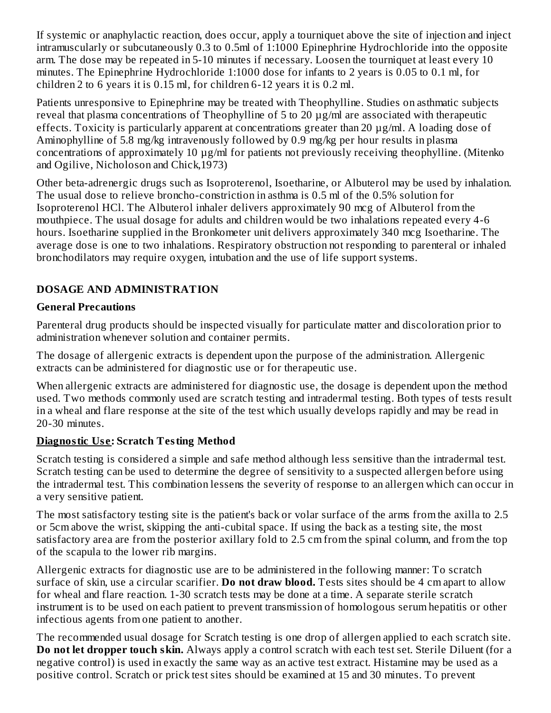If systemic or anaphylactic reaction, does occur, apply a tourniquet above the site of injection and inject intramuscularly or subcutaneously 0.3 to 0.5ml of 1:1000 Epinephrine Hydrochloride into the opposite arm. The dose may be repeated in 5-10 minutes if necessary. Loosen the tourniquet at least every 10 minutes. The Epinephrine Hydrochloride 1:1000 dose for infants to 2 years is 0.05 to 0.1 ml, for children 2 to 6 years it is 0.15 ml, for children 6-12 years it is 0.2 ml.

Patients unresponsive to Epinephrine may be treated with Theophylline. Studies on asthmatic subjects reveal that plasma concentrations of Theophylline of 5 to 20 µg/ml are associated with therapeutic effects. Toxicity is particularly apparent at concentrations greater than 20 µg/ml. A loading dose of Aminophylline of 5.8 mg/kg intravenously followed by 0.9 mg/kg per hour results in plasma concentrations of approximately 10 µg/ml for patients not previously receiving theophylline. (Mitenko and Ogilive, Nicholoson and Chick,1973)

Other beta-adrenergic drugs such as Isoproterenol, Isoetharine, or Albuterol may be used by inhalation. The usual dose to relieve broncho-constriction in asthma is 0.5 ml of the 0.5% solution for Isoproterenol HCl. The Albuterol inhaler delivers approximately 90 mcg of Albuterol from the mouthpiece. The usual dosage for adults and children would be two inhalations repeated every 4-6 hours. Isoetharine supplied in the Bronkometer unit delivers approximately 340 mcg Isoetharine. The average dose is one to two inhalations. Respiratory obstruction not responding to parenteral or inhaled bronchodilators may require oxygen, intubation and the use of life support systems.

# **DOSAGE AND ADMINISTRATION**

## **General Precautions**

Parenteral drug products should be inspected visually for particulate matter and discoloration prior to administration whenever solution and container permits.

The dosage of allergenic extracts is dependent upon the purpose of the administration. Allergenic extracts can be administered for diagnostic use or for therapeutic use.

When allergenic extracts are administered for diagnostic use, the dosage is dependent upon the method used. Two methods commonly used are scratch testing and intradermal testing. Both types of tests result in a wheal and flare response at the site of the test which usually develops rapidly and may be read in 20-30 minutes.

#### **Diagnostic Us e: Scratch Testing Method**

Scratch testing is considered a simple and safe method although less sensitive than the intradermal test. Scratch testing can be used to determine the degree of sensitivity to a suspected allergen before using the intradermal test. This combination lessens the severity of response to an allergen which can occur in a very sensitive patient.

The most satisfactory testing site is the patient's back or volar surface of the arms from the axilla to 2.5 or 5cm above the wrist, skipping the anti-cubital space. If using the back as a testing site, the most satisfactory area are from the posterior axillary fold to 2.5 cm from the spinal column, and from the top of the scapula to the lower rib margins.

Allergenic extracts for diagnostic use are to be administered in the following manner: To scratch surface of skin, use a circular scarifier. **Do not draw blood.** Tests sites should be 4 cm apart to allow for wheal and flare reaction. 1-30 scratch tests may be done at a time. A separate sterile scratch instrument is to be used on each patient to prevent transmission of homologous serum hepatitis or other infectious agents from one patient to another.

The recommended usual dosage for Scratch testing is one drop of allergen applied to each scratch site. **Do not let dropper touch skin.** Always apply a control scratch with each test set. Sterile Diluent (for a negative control) is used in exactly the same way as an active test extract. Histamine may be used as a positive control. Scratch or prick test sites should be examined at 15 and 30 minutes. To prevent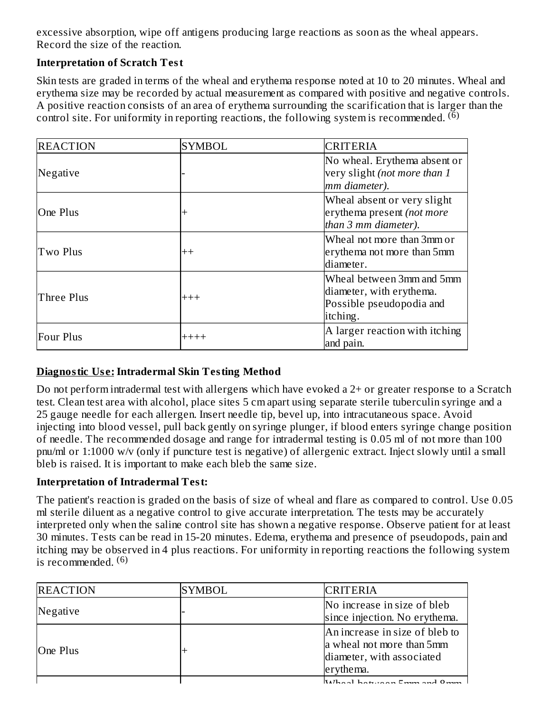excessive absorption, wipe off antigens producing large reactions as soon as the wheal appears. Record the size of the reaction.

#### **Interpretation of Scratch Test**

Skin tests are graded in terms of the wheal and erythema response noted at 10 to 20 minutes. Wheal and erythema size may be recorded by actual measurement as compared with positive and negative controls. A positive reaction consists of an area of erythema surrounding the scarification that is larger than the control site. For uniformity in reporting reactions, the following system is recommended.  $\mathcal{F}^{(6)}$ 

| <b>REACTION</b>  | <b>SYMBOL</b> | <b>CRITERIA</b>                                                                               |  |  |
|------------------|---------------|-----------------------------------------------------------------------------------------------|--|--|
| Negative         |               | No wheal. Erythema absent or<br>very slight (not more than 1<br>mm diameter).                 |  |  |
| One Plus         |               | Wheal absent or very slight<br>erythema present (not more<br>than 3 mm diameter).             |  |  |
| Two Plus         | $^{++}$       | Wheal not more than 3mm or<br>erythema not more than 5mm<br>diameter.                         |  |  |
| Three Plus       | $+++$         | Wheal between 3mm and 5mm<br>diameter, with erythema.<br>Possible pseudopodia and<br>itching. |  |  |
| <b>Four Plus</b> | $+++++$       | A larger reaction with itching<br>and pain.                                                   |  |  |

## **Diagnostic Us e:Intradermal Skin Testing Method**

Do not perform intradermal test with allergens which have evoked a 2+ or greater response to a Scratch test. Clean test area with alcohol, place sites 5 cm apart using separate sterile tuberculin syringe and a 25 gauge needle for each allergen. Insert needle tip, bevel up, into intracutaneous space. Avoid injecting into blood vessel, pull back gently on syringe plunger, if blood enters syringe change position of needle. The recommended dosage and range for intradermal testing is 0.05 ml of not more than 100 pnu/ml or 1:1000 w/v (only if puncture test is negative) of allergenic extract. Inject slowly until a small bleb is raised. It is important to make each bleb the same size.

## **Interpretation of Intradermal Test:**

The patient's reaction is graded on the basis of size of wheal and flare as compared to control. Use 0.05 ml sterile diluent as a negative control to give accurate interpretation. The tests may be accurately interpreted only when the saline control site has shown a negative response. Observe patient for at least 30 minutes. Tests can be read in 15-20 minutes. Edema, erythema and presence of pseudopods, pain and itching may be observed in 4 plus reactions. For uniformity in reporting reactions the following system is recommended. (6)

| <b>REACTION</b> | <b>SYMBOL</b> | <b>CRITERIA</b>                                                                                       |
|-----------------|---------------|-------------------------------------------------------------------------------------------------------|
| Negative        |               | No increase in size of bleb<br>since injection. No erythema.                                          |
| One Plus        |               | An increase in size of bleb to<br>a wheal not more than 5mm<br>diameter, with associated<br>erythema. |
|                 |               |                                                                                                       |

Wheal between 5mm and 8mm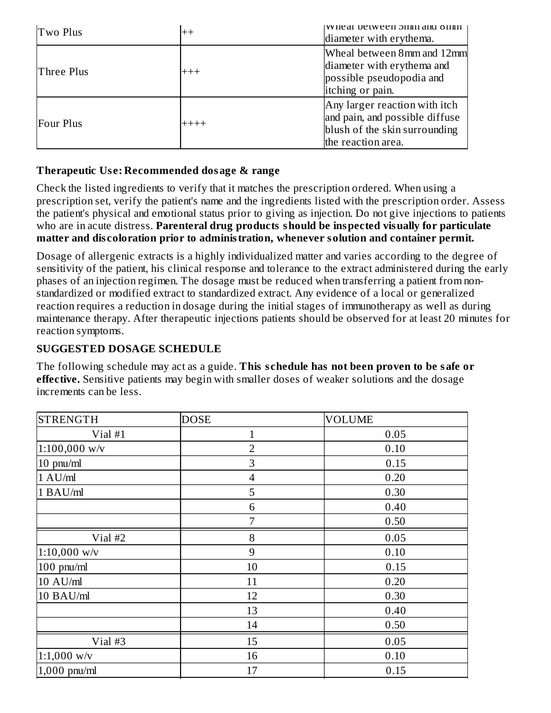| Two Plus   | $++$    | whear between billin and online<br>diameter with erythema.                                                             |
|------------|---------|------------------------------------------------------------------------------------------------------------------------|
| Three Plus | $+++$   | Wheal between 8mm and 12mm<br>diameter with erythema and<br>possible pseudopodia and<br>itching or pain.               |
| Four Plus  | $+++++$ | Any larger reaction with itch<br>and pain, and possible diffuse<br>blush of the skin surrounding<br>the reaction area. |

#### **Therapeutic Us e: Recommended dosage & range**

Check the listed ingredients to verify that it matches the prescription ordered. When using a prescription set, verify the patient's name and the ingredients listed with the prescription order. Assess the patient's physical and emotional status prior to giving as injection. Do not give injections to patients who are in acute distress. **Parenteral drug products should be inspected visually for particulate matter and dis coloration prior to administration, whenever solution and container permit.**

Dosage of allergenic extracts is a highly individualized matter and varies according to the degree of sensitivity of the patient, his clinical response and tolerance to the extract administered during the early phases of an injection regimen. The dosage must be reduced when transferring a patient from nonstandardized or modified extract to standardized extract. Any evidence of a local or generalized reaction requires a reduction in dosage during the initial stages of immunotherapy as well as during maintenance therapy. After therapeutic injections patients should be observed for at least 20 minutes for reaction symptoms.

## **SUGGESTED DOSAGE SCHEDULE**

The following schedule may act as a guide. **This s chedule has not been proven to be safe or effective.** Sensitive patients may begin with smaller doses of weaker solutions and the dosage increments can be less.

| <b>STRENGTH</b> | <b>DOSE</b>    | <b>VOLUME</b> |
|-----------------|----------------|---------------|
| Vial #1         | $\mathbf{1}$   | 0.05          |
| 1:100,000 w/v   | $\overline{2}$ | 0.10          |
| 10 pnu/ml       | 3              | 0.15          |
| $1$ AU/ $ml$    | $\overline{4}$ | 0.20          |
| 1 BAU/ml        | 5              | 0.30          |
|                 | 6              | 0.40          |
|                 | $\overline{7}$ | 0.50          |
| Vial #2         | 8              | 0.05          |
| $1:10,000$ w/v  | 9              | 0.10          |
| $100$ pnu/ml    | 10             | 0.15          |
| 10 AU/ml        | 11             | 0.20          |
| 10 BAU/ml       | 12             | 0.30          |
|                 | 13             | 0.40          |
|                 | 14             | 0.50          |
| Vial #3         | 15             | 0.05          |
| $1:1,000$ w/v   | 16             | 0.10          |
| $1,000$ pnu/ml  | 17             | 0.15          |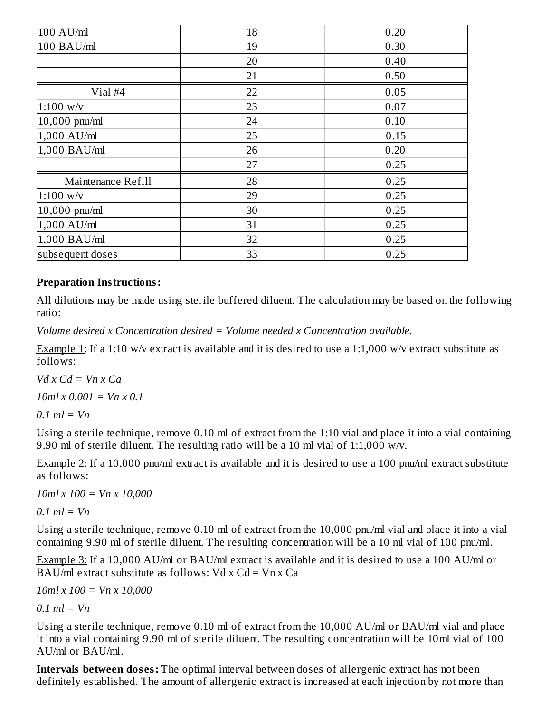| 100 AU/ml          | 18 | 0.20 |
|--------------------|----|------|
| 100 BAU/ml         | 19 | 0.30 |
|                    | 20 | 0.40 |
|                    | 21 | 0.50 |
| Vial #4            | 22 | 0.05 |
| $1:100$ w/v        | 23 | 0.07 |
| $10,000$ pnu/ml    | 24 | 0.10 |
| 1,000 AU/ml        | 25 | 0.15 |
| 1,000 BAU/ml       | 26 | 0.20 |
|                    | 27 | 0.25 |
| Maintenance Refill | 28 | 0.25 |
| $1:100$ w/v        | 29 | 0.25 |
| 10,000 pnu/ml      | 30 | 0.25 |
| 1,000 AU/ml        | 31 | 0.25 |
| 1,000 BAU/ml       | 32 | 0.25 |
| subsequent doses   | 33 | 0.25 |

#### **Preparation Instructions:**

All dilutions may be made using sterile buffered diluent. The calculation may be based on the following ratio:

*Volume desired x Concentration desired = Volume needed x Concentration available.*

Example 1: If a 1:10 w/v extract is available and it is desired to use a 1:1,000 w/v extract substitute as follows:

 $V$ *d*  $x$   $C$ *d*  $= Vn$   $x$   $C$ *a* 

*10ml x 0.001 = Vn x 0.1*

 $0.1$  *ml* = *Vn* 

Using a sterile technique, remove 0.10 ml of extract from the 1:10 vial and place it into a vial containing 9.90 ml of sterile diluent. The resulting ratio will be a 10 ml vial of 1:1,000 w/v.

Example 2: If a 10,000 pnu/ml extract is available and it is desired to use a 100 pnu/ml extract substitute as follows:

*10ml x 100 = Vn x 10,000*

*0.1 ml = Vn*

Using a sterile technique, remove 0.10 ml of extract from the 10,000 pnu/ml vial and place it into a vial containing 9.90 ml of sterile diluent. The resulting concentration will be a 10 ml vial of 100 pnu/ml.

Example 3: If a 10,000 AU/ml or BAU/ml extract is available and it is desired to use a 100 AU/ml or BAU/ml extract substitute as follows:  $Vd \times Cd = Vn \times Ca$ 

*10ml x 100 = Vn x 10,000*

*0.1 ml = Vn*

Using a sterile technique, remove 0.10 ml of extract from the 10,000 AU/ml or BAU/ml vial and place it into a vial containing 9.90 ml of sterile diluent. The resulting concentration will be 10ml vial of 100 AU/ml or BAU/ml.

**Intervals between doses:** The optimal interval between doses of allergenic extract has not been definitely established. The amount of allergenic extract is increased at each injection by not more than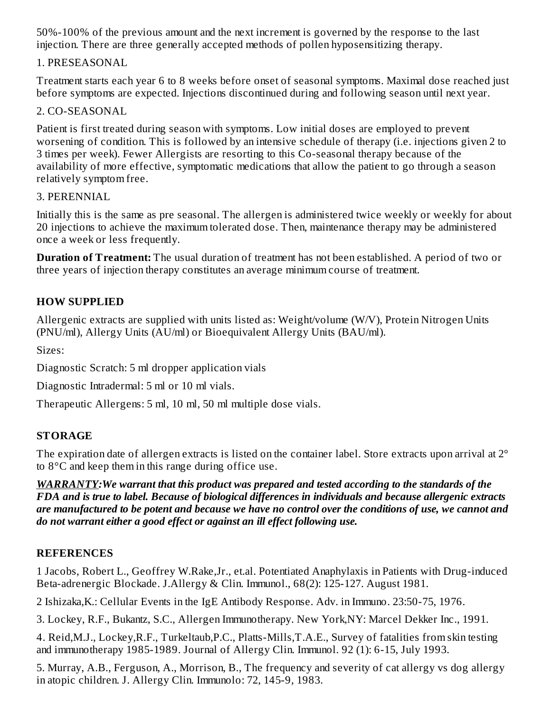50%-100% of the previous amount and the next increment is governed by the response to the last injection. There are three generally accepted methods of pollen hyposensitizing therapy.

#### 1. PRESEASONAL

Treatment starts each year 6 to 8 weeks before onset of seasonal symptoms. Maximal dose reached just before symptoms are expected. Injections discontinued during and following season until next year.

#### 2. CO-SEASONAL

Patient is first treated during season with symptoms. Low initial doses are employed to prevent worsening of condition. This is followed by an intensive schedule of therapy (i.e. injections given 2 to 3 times per week). Fewer Allergists are resorting to this Co-seasonal therapy because of the availability of more effective, symptomatic medications that allow the patient to go through a season relatively symptom free.

#### 3. PERENNIAL

Initially this is the same as pre seasonal. The allergen is administered twice weekly or weekly for about 20 injections to achieve the maximum tolerated dose. Then, maintenance therapy may be administered once a week or less frequently.

**Duration of Treatment:** The usual duration of treatment has not been established. A period of two or three years of injection therapy constitutes an average minimum course of treatment.

# **HOW SUPPLIED**

Allergenic extracts are supplied with units listed as: Weight/volume (W/V), Protein Nitrogen Units (PNU/ml), Allergy Units (AU/ml) or Bioequivalent Allergy Units (BAU/ml).

Sizes:

Diagnostic Scratch: 5 ml dropper application vials

Diagnostic Intradermal: 5 ml or 10 ml vials.

Therapeutic Allergens: 5 ml, 10 ml, 50 ml multiple dose vials.

## **STORAGE**

The expiration date of allergen extracts is listed on the container label. Store extracts upon arrival at 2<sup>°</sup> to 8°C and keep them in this range during office use.

*WARRANTY:We warrant that this product was prepared and tested according to the standards of the FDA and is true to label. Because of biological differences in individuals and because allergenic extracts* are manufactured to be potent and because we have no control over the conditions of use, we cannot and *do not warrant either a good effect or against an ill effect following use.*

## **REFERENCES**

1 Jacobs, Robert L., Geoffrey W.Rake,Jr., et.al. Potentiated Anaphylaxis in Patients with Drug-induced Beta-adrenergic Blockade. J.Allergy & Clin. Immunol., 68(2): 125-127. August 1981.

2 Ishizaka,K.: Cellular Events in the IgE Antibody Response. Adv. in Immuno. 23:50-75, 1976.

3. Lockey, R.F., Bukantz, S.C., Allergen Immunotherapy. New York,NY: Marcel Dekker Inc., 1991.

4. Reid,M.J., Lockey,R.F., Turkeltaub,P.C., Platts-Mills,T.A.E., Survey of fatalities from skin testing and immunotherapy 1985-1989. Journal of Allergy Clin. Immunol. 92 (1): 6-15, July 1993.

5. Murray, A.B., Ferguson, A., Morrison, B., The frequency and severity of cat allergy vs dog allergy in atopic children. J. Allergy Clin. Immunolo: 72, 145-9, 1983.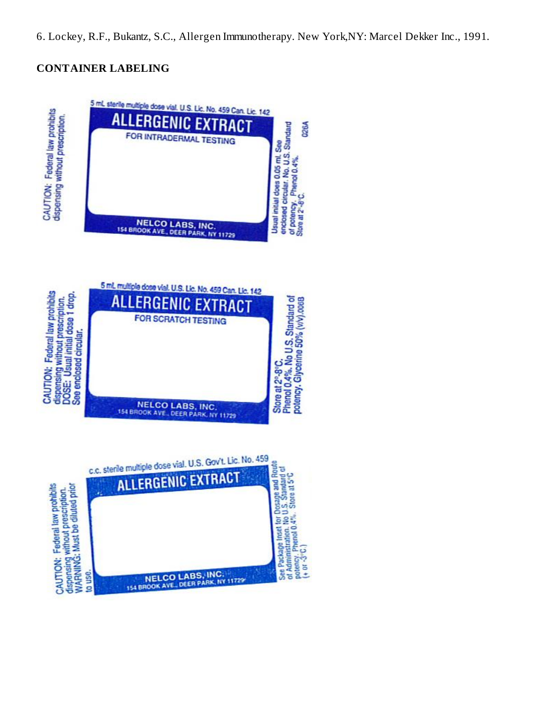## **CONTAINER LABELING**

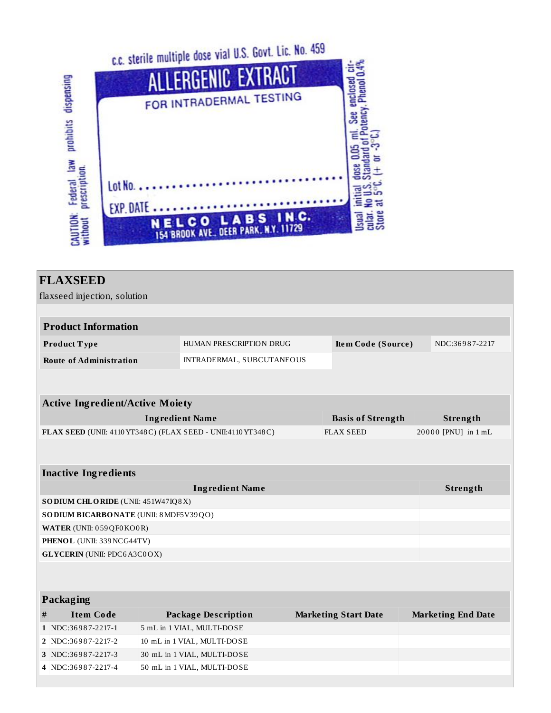



|   | <b>FLAXSEED</b>                         |                                                              |                             |                           |
|---|-----------------------------------------|--------------------------------------------------------------|-----------------------------|---------------------------|
|   | flaxseed injection, solution            |                                                              |                             |                           |
|   |                                         |                                                              |                             |                           |
|   | <b>Product Information</b>              |                                                              |                             |                           |
|   | Product Type                            | HUMAN PRESCRIPTION DRUG                                      | Item Code (Source)          | NDC:36987-2217            |
|   | <b>Route of Administration</b>          | INTRADERMAL, SUBCUTANEOUS                                    |                             |                           |
|   |                                         |                                                              |                             |                           |
|   |                                         |                                                              |                             |                           |
|   | <b>Active Ingredient/Active Moiety</b>  |                                                              |                             |                           |
|   |                                         | <b>Ingredient Name</b>                                       | <b>Basis of Strength</b>    | Strength                  |
|   |                                         | FLAX SEED (UNII: 4110 YT348C) (FLAX SEED - UNII:4110 YT348C) | <b>FLAX SEED</b>            | 20000 [PNU] in 1 mL       |
|   |                                         |                                                              |                             |                           |
|   |                                         |                                                              |                             |                           |
|   | <b>Inactive Ingredients</b>             |                                                              |                             |                           |
|   |                                         | <b>Ingredient Name</b>                                       |                             | Strength                  |
|   | SODIUM CHLORIDE (UNII: 451W47IQ8X)      |                                                              |                             |                           |
|   | SO DIUM BICARBONATE (UNII: 8 MDF5V39QO) |                                                              |                             |                           |
|   | WATER (UNII: 059 QF0 KO0 R)             |                                                              |                             |                           |
|   | PHENOL (UNII: 339 NCG44TV)              |                                                              |                             |                           |
|   | <b>GLYCERIN</b> (UNII: PDC6A3C0OX)      |                                                              |                             |                           |
|   |                                         |                                                              |                             |                           |
|   |                                         |                                                              |                             |                           |
|   | Packaging                               |                                                              |                             |                           |
| # | <b>Item Code</b>                        | <b>Package Description</b>                                   | <b>Marketing Start Date</b> | <b>Marketing End Date</b> |
|   | 1 NDC:36987-2217-1                      | 5 mL in 1 VIAL, MULTI-DOSE                                   |                             |                           |
|   | 2 NDC:36987-2217-2                      | 10 mL in 1 VIAL, MULTI-DOSE                                  |                             |                           |

**3** NDC:36987-2217-3 30 mL in 1 VIAL, MULTI-DOSE **4** NDC:36 9 8 7-2217-4 50 mL in 1 VIAL, MULTI-DOSE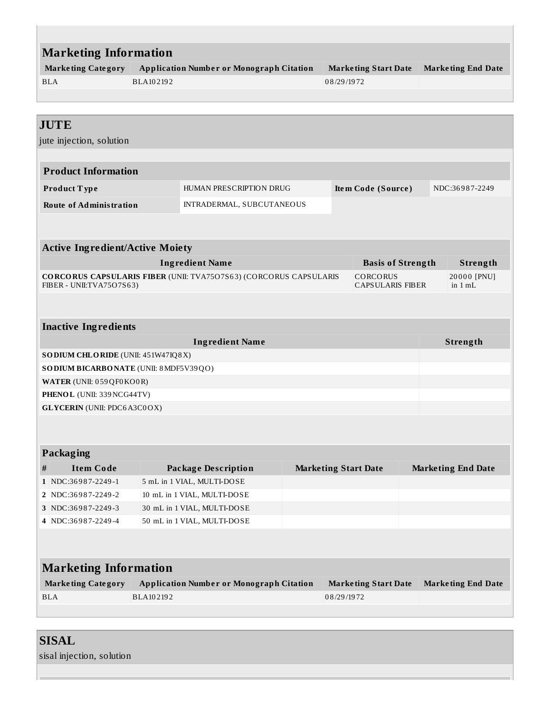| <b>Marketing Information</b>            |           |                                                                          |            |                             |                           |
|-----------------------------------------|-----------|--------------------------------------------------------------------------|------------|-----------------------------|---------------------------|
| <b>Marketing Category</b>               |           | <b>Application Number or Monograph Citation</b>                          |            | <b>Marketing Start Date</b> | <b>Marketing End Date</b> |
| <b>BLA</b>                              | BLA102192 |                                                                          | 08/29/1972 |                             |                           |
|                                         |           |                                                                          |            |                             |                           |
|                                         |           |                                                                          |            |                             |                           |
| <b>JUTE</b>                             |           |                                                                          |            |                             |                           |
| jute injection, solution                |           |                                                                          |            |                             |                           |
|                                         |           |                                                                          |            |                             |                           |
| <b>Product Information</b>              |           |                                                                          |            |                             |                           |
| Product Type                            |           | HUMAN PRESCRIPTION DRUG                                                  |            | Item Code (Source)          | NDC:36987-2249            |
| <b>Route of Administration</b>          |           | INTRADERMAL, SUBCUTANEOUS                                                |            |                             |                           |
|                                         |           |                                                                          |            |                             |                           |
|                                         |           |                                                                          |            |                             |                           |
| <b>Active Ingredient/Active Moiety</b>  |           |                                                                          |            |                             |                           |
|                                         |           | <b>Ingredient Name</b>                                                   |            | <b>Basis of Strength</b>    | Strength                  |
|                                         |           | <b>CORCORUS CAPSULARIS FIBER (UNII: TVA7507S63) (CORCORUS CAPSULARIS</b> |            | <b>CORCORUS</b>             | 20000 [PNU]               |
| FIBER - UNII:TVA75O7S63)                |           |                                                                          |            | <b>CAPSULARIS FIBER</b>     | in $1 mL$                 |
|                                         |           |                                                                          |            |                             |                           |
| <b>Inactive Ingredients</b>             |           |                                                                          |            |                             |                           |
|                                         |           | <b>Ingredient Name</b>                                                   |            |                             | Strength                  |
| SODIUM CHLORIDE (UNII: 451W47IQ8X)      |           |                                                                          |            |                             |                           |
| SO DIUM BICARBONATE (UNII: 8 MDF5V39QO) |           |                                                                          |            |                             |                           |
| WATER (UNII: 059QF0KO0R)                |           |                                                                          |            |                             |                           |
| PHENOL (UNII: 339 NCG44TV)              |           |                                                                          |            |                             |                           |
| <b>GLYCERIN</b> (UNII: PDC6A3C0OX)      |           |                                                                          |            |                             |                           |

## **Packaging**

| Item Code          | <b>Package Description</b>  | <b>Marketing Start Date</b> | <b>Marketing End Date</b> |
|--------------------|-----------------------------|-----------------------------|---------------------------|
| 1 NDC:36987-2249-1 | 5 mL in 1 VIAL, MULTI-DOSE  |                             |                           |
| 2 NDC:36987-2249-2 | 10 mL in 1 VIAL, MULTI-DOSE |                             |                           |
| 3 NDC:36987-2249-3 | 30 mL in 1 VIAL, MULTI-DOSE |                             |                           |
| 4 NDC:36987-2249-4 | 50 mL in 1 VIAL, MULTI-DOSE |                             |                           |

# **Marketing Information**

| <b>Marketing Category</b> | <b>Application Number or Monograph Citation</b> | Marketing Start Date Marketing End Date |  |
|---------------------------|-------------------------------------------------|-----------------------------------------|--|
| <b>BLA</b>                | BLA102192                                       | 08/29/1972                              |  |

| <b>SISAL</b>              |  |
|---------------------------|--|
| sisal injection, solution |  |
|                           |  |